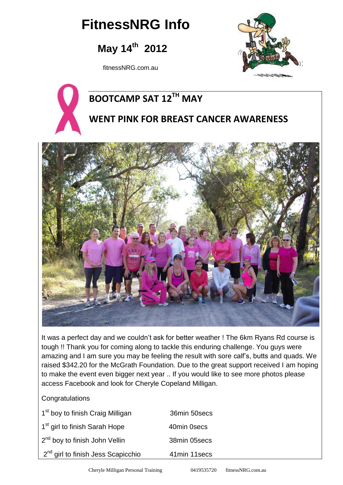# **FitnessNRG Info**

## **May 14th 2012**

fitnessNRG.com.au





## **BOOTCAMP SAT 12TH MAY**

### **WENT PINK FOR BREAST CANCER AWARENESS**



It was a perfect day and we couldn't ask for better weather ! The 6km Ryans Rd course is tough !! Thank you for coming along to tackle this enduring challenge. You guys were amazing and I am sure you may be feeling the result with sore calf's, butts and quads. We raised \$342.20 for the McGrath Foundation. Due to the great support received I am hoping to make the event even bigger next year .. If you would like to see more photos please access Facebook and look for Cheryle Copeland Milligan.

#### **Congratulations**

| 1 <sup>st</sup> boy to finish Craig Milligan   | 36min 50secs |
|------------------------------------------------|--------------|
| 1 <sup>st</sup> girl to finish Sarah Hope      | 40min 0secs  |
| 2 <sup>nd</sup> boy to finish John Vellin      | 38min 05secs |
| 2 <sup>nd</sup> girl to finish Jess Scapicchio | 41min 11secs |
|                                                |              |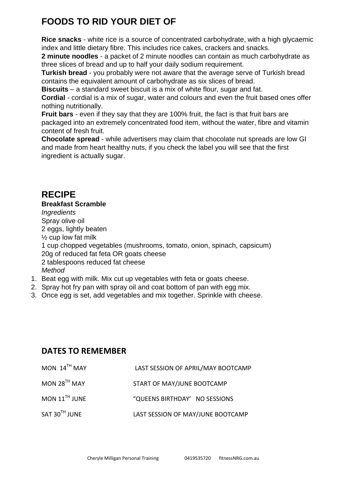### **FOODS TO RID YOUR DIET OF**

**Rice snacks** - white rice is a source of concentrated carbohydrate, with a high glycaemic index and little dietary fibre. This includes rice cakes, crackers and snacks.

**2 minute noodles** - a packet of 2 minute noodles can contain as much carbohydrate as three slices of bread and up to half your daily sodium requirement.

**Turkish bread** - you probably were not aware that the average serve of Turkish bread contains the equivalent amount of carbohydrate as six slices of bread.

**Biscuits** – a standard sweet biscuit is a mix of white flour, sugar and fat.

**Cordial** - cordial is a mix of sugar, water and colours and even the fruit based ones offer nothing nutritionally.

**Fruit bars** - even if they say that they are 100% fruit, the fact is that fruit bars are packaged into an extremely concentrated food item, without the water, fibre and vitamin content of fresh fruit.

**Chocolate spread** - while advertisers may claim that chocolate nut spreads are low GI and made from heart healthy nuts, if you check the label you will see that the first ingredient is actually sugar.

### **RECIPE**

#### **Breakfast Scramble**

*Ingredients* Spray olive oil 2 eggs, lightly beaten ½ cup low fat milk 1 cup chopped vegetables (mushrooms, tomato, onion, spinach, capsicum) 20g of reduced fat feta OR goats cheese 2 tablespoons reduced fat cheese *Method*

- 1. Beat egg with milk. Mix cut up vegetables with feta or goats cheese.
- 2. Spray hot fry pan with spray oil and coat bottom of pan with egg mix.
- 3. Once egg is set, add vegetables and mix together. Sprinkle with cheese.

#### **DATES TO REMEMBER**

| MON $14^{TH}$ MAY           | LAST SESSION OF APRIL/MAY BOOTCAMP |
|-----------------------------|------------------------------------|
| MON $28^{TH}$ MAY           | START OF MAY/JUNE BOOTCAMP         |
| MON $11$ <sup>TH</sup> JUNE | "QUEENS BIRTHDAY' NO SESSIONS      |
| $SAT 30TH$ JUNE             | LAST SESSION OF MAY/JUNE BOOTCAMP  |